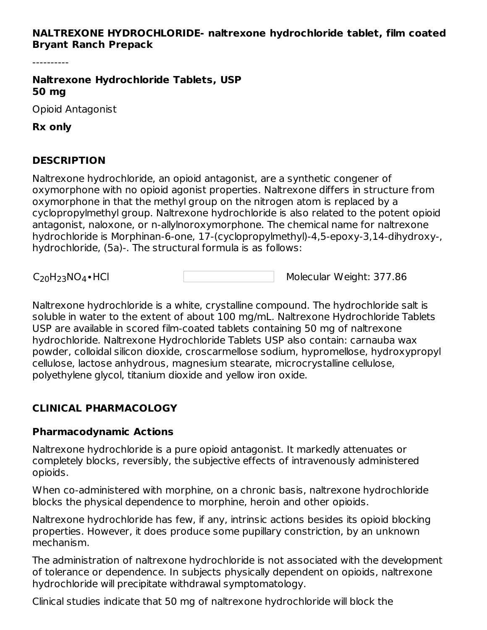#### **NALTREXONE HYDROCHLORIDE- naltrexone hydrochloride tablet, film coated Bryant Ranch Prepack**

----------

**Naltrexone Hydrochloride Tablets, USP 50 mg**

Opioid Antagonist

**Rx only**

### **DESCRIPTION**

Naltrexone hydrochloride, an opioid antagonist, are a synthetic congener of oxymorphone with no opioid agonist properties. Naltrexone differs in structure from oxymorphone in that the methyl group on the nitrogen atom is replaced by a cyclopropylmethyl group. Naltrexone hydrochloride is also related to the potent opioid antagonist, naloxone, or n-allylnoroxymorphone. The chemical name for naltrexone hydrochloride is Morphinan-6-one, 17-(cyclopropylmethyl)-4,5-epoxy-3,14-dihydroxy-, hydrochloride, (5a)-. The structural formula is as follows:

 $C_{20}H_{23}NO_4 \cdot HCl$ 

Molecular Weight: 377.86

Naltrexone hydrochloride is a white, crystalline compound. The hydrochloride salt is soluble in water to the extent of about 100 mg/mL. Naltrexone Hydrochloride Tablets USP are available in scored film-coated tablets containing 50 mg of naltrexone hydrochloride. Naltrexone Hydrochloride Tablets USP also contain: carnauba wax powder, colloidal silicon dioxide, croscarmellose sodium, hypromellose, hydroxypropyl cellulose, lactose anhydrous, magnesium stearate, microcrystalline cellulose, polyethylene glycol, titanium dioxide and yellow iron oxide.

### **CLINICAL PHARMACOLOGY**

### **Pharmacodynamic Actions**

Naltrexone hydrochloride is a pure opioid antagonist. It markedly attenuates or completely blocks, reversibly, the subjective effects of intravenously administered opioids.

When co-administered with morphine, on a chronic basis, naltrexone hydrochloride blocks the physical dependence to morphine, heroin and other opioids.

Naltrexone hydrochloride has few, if any, intrinsic actions besides its opioid blocking properties. However, it does produce some pupillary constriction, by an unknown mechanism.

The administration of naltrexone hydrochloride is not associated with the development of tolerance or dependence. In subjects physically dependent on opioids, naltrexone hydrochloride will precipitate withdrawal symptomatology.

Clinical studies indicate that 50 mg of naltrexone hydrochloride will block the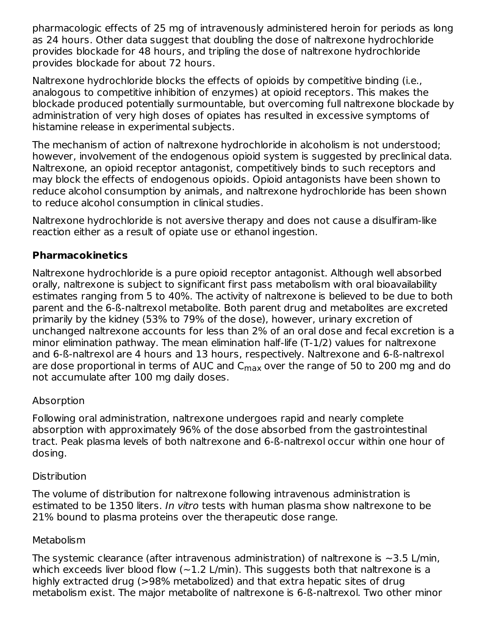pharmacologic effects of 25 mg of intravenously administered heroin for periods as long as 24 hours. Other data suggest that doubling the dose of naltrexone hydrochloride provides blockade for 48 hours, and tripling the dose of naltrexone hydrochloride provides blockade for about 72 hours.

Naltrexone hydrochloride blocks the effects of opioids by competitive binding (i.e., analogous to competitive inhibition of enzymes) at opioid receptors. This makes the blockade produced potentially surmountable, but overcoming full naltrexone blockade by administration of very high doses of opiates has resulted in excessive symptoms of histamine release in experimental subjects.

The mechanism of action of naltrexone hydrochloride in alcoholism is not understood; however, involvement of the endogenous opioid system is suggested by preclinical data. Naltrexone, an opioid receptor antagonist, competitively binds to such receptors and may block the effects of endogenous opioids. Opioid antagonists have been shown to reduce alcohol consumption by animals, and naltrexone hydrochloride has been shown to reduce alcohol consumption in clinical studies.

Naltrexone hydrochloride is not aversive therapy and does not cause a disulfiram-like reaction either as a result of opiate use or ethanol ingestion.

### **Pharmacokinetics**

Naltrexone hydrochloride is a pure opioid receptor antagonist. Although well absorbed orally, naltrexone is subject to significant first pass metabolism with oral bioavailability estimates ranging from 5 to 40%. The activity of naltrexone is believed to be due to both parent and the 6-ß-naltrexol metabolite. Both parent drug and metabolites are excreted primarily by the kidney (53% to 79% of the dose), however, urinary excretion of unchanged naltrexone accounts for less than 2% of an oral dose and fecal excretion is a minor elimination pathway. The mean elimination half-life (T-1/2) values for naltrexone and 6-ß-naltrexol are 4 hours and 13 hours, respectively. Naltrexone and 6-ß-naltrexol are dose proportional in terms of AUC and  $\mathsf{C}_{\mathsf{max}}$  over the range of 50 to 200 mg and do not accumulate after 100 mg daily doses.

### Absorption

Following oral administration, naltrexone undergoes rapid and nearly complete absorption with approximately 96% of the dose absorbed from the gastrointestinal tract. Peak plasma levels of both naltrexone and 6-ß-naltrexol occur within one hour of dosing.

### **Distribution**

The volume of distribution for naltrexone following intravenous administration is estimated to be 1350 liters. In vitro tests with human plasma show naltrexone to be 21% bound to plasma proteins over the therapeutic dose range.

### **Metabolism**

The systemic clearance (after intravenous administration) of naltrexone is  $\sim$ 3.5 L/min, which exceeds liver blood flow  $(-1.2 \text{ L/min})$ . This suggests both that naltrexone is a highly extracted drug (>98% metabolized) and that extra hepatic sites of drug metabolism exist. The major metabolite of naltrexone is 6-ß-naltrexol. Two other minor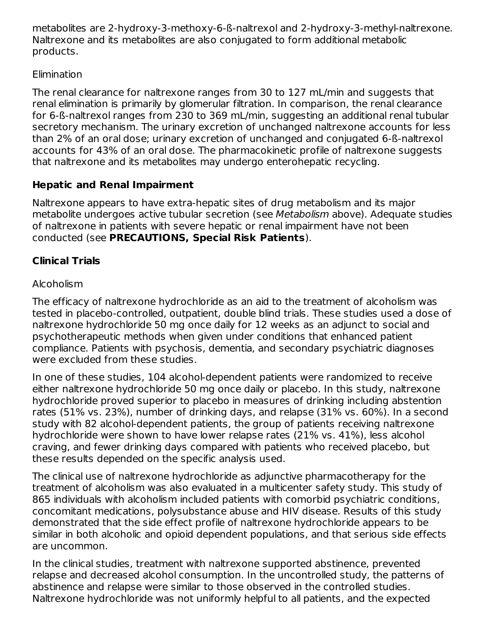metabolites are 2-hydroxy-3-methoxy-6-ß-naltrexol and 2-hydroxy-3-methyl-naltrexone. Naltrexone and its metabolites are also conjugated to form additional metabolic products.

### **Elimination**

The renal clearance for naltrexone ranges from 30 to 127 mL/min and suggests that renal elimination is primarily by glomerular filtration. In comparison, the renal clearance for 6-ß-naltrexol ranges from 230 to 369 mL/min, suggesting an additional renal tubular secretory mechanism. The urinary excretion of unchanged naltrexone accounts for less than 2% of an oral dose; urinary excretion of unchanged and conjugated 6-ß-naltrexol accounts for 43% of an oral dose. The pharmacokinetic profile of naltrexone suggests that naltrexone and its metabolites may undergo enterohepatic recycling.

## **Hepatic and Renal Impairment**

Naltrexone appears to have extra-hepatic sites of drug metabolism and its major metabolite undergoes active tubular secretion (see Metabolism above). Adequate studies of naltrexone in patients with severe hepatic or renal impairment have not been conducted (see **PRECAUTIONS, Special Risk Patients**).

## **Clinical Trials**

## Alcoholism

The efficacy of naltrexone hydrochloride as an aid to the treatment of alcoholism was tested in placebo-controlled, outpatient, double blind trials. These studies used a dose of naltrexone hydrochloride 50 mg once daily for 12 weeks as an adjunct to social and psychotherapeutic methods when given under conditions that enhanced patient compliance. Patients with psychosis, dementia, and secondary psychiatric diagnoses were excluded from these studies.

In one of these studies, 104 alcohol-dependent patients were randomized to receive either naltrexone hydrochloride 50 mg once daily or placebo. In this study, naltrexone hydrochloride proved superior to placebo in measures of drinking including abstention rates (51% vs. 23%), number of drinking days, and relapse (31% vs. 60%). In a second study with 82 alcohol-dependent patients, the group of patients receiving naltrexone hydrochloride were shown to have lower relapse rates (21% vs. 41%), less alcohol craving, and fewer drinking days compared with patients who received placebo, but these results depended on the specific analysis used.

The clinical use of naltrexone hydrochloride as adjunctive pharmacotherapy for the treatment of alcoholism was also evaluated in a multicenter safety study. This study of 865 individuals with alcoholism included patients with comorbid psychiatric conditions, concomitant medications, polysubstance abuse and HIV disease. Results of this study demonstrated that the side effect profile of naltrexone hydrochloride appears to be similar in both alcoholic and opioid dependent populations, and that serious side effects are uncommon.

In the clinical studies, treatment with naltrexone supported abstinence, prevented relapse and decreased alcohol consumption. In the uncontrolled study, the patterns of abstinence and relapse were similar to those observed in the controlled studies. Naltrexone hydrochloride was not uniformly helpful to all patients, and the expected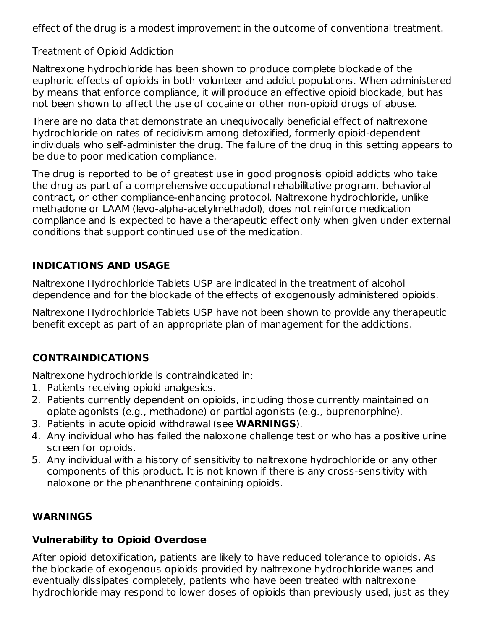effect of the drug is a modest improvement in the outcome of conventional treatment.

Treatment of Opioid Addiction

Naltrexone hydrochloride has been shown to produce complete blockade of the euphoric effects of opioids in both volunteer and addict populations. When administered by means that enforce compliance, it will produce an effective opioid blockade, but has not been shown to affect the use of cocaine or other non-opioid drugs of abuse.

There are no data that demonstrate an unequivocally beneficial effect of naltrexone hydrochloride on rates of recidivism among detoxified, formerly opioid-dependent individuals who self-administer the drug. The failure of the drug in this setting appears to be due to poor medication compliance.

The drug is reported to be of greatest use in good prognosis opioid addicts who take the drug as part of a comprehensive occupational rehabilitative program, behavioral contract, or other compliance-enhancing protocol. Naltrexone hydrochloride, unlike methadone or LAAM (levo-alpha-acetylmethadol), does not reinforce medication compliance and is expected to have a therapeutic effect only when given under external conditions that support continued use of the medication.

## **INDICATIONS AND USAGE**

Naltrexone Hydrochloride Tablets USP are indicated in the treatment of alcohol dependence and for the blockade of the effects of exogenously administered opioids.

Naltrexone Hydrochloride Tablets USP have not been shown to provide any therapeutic benefit except as part of an appropriate plan of management for the addictions.

## **CONTRAINDICATIONS**

Naltrexone hydrochloride is contraindicated in:

- 1. Patients receiving opioid analgesics.
- 2. Patients currently dependent on opioids, including those currently maintained on opiate agonists (e.g., methadone) or partial agonists (e.g., buprenorphine).
- 3. Patients in acute opioid withdrawal (see **WARNINGS**).
- 4. Any individual who has failed the naloxone challenge test or who has a positive urine screen for opioids.
- 5. Any individual with a history of sensitivity to naltrexone hydrochloride or any other components of this product. It is not known if there is any cross-sensitivity with naloxone or the phenanthrene containing opioids.

## **WARNINGS**

### **Vulnerability to Opioid Overdose**

After opioid detoxification, patients are likely to have reduced tolerance to opioids. As the blockade of exogenous opioids provided by naltrexone hydrochloride wanes and eventually dissipates completely, patients who have been treated with naltrexone hydrochloride may respond to lower doses of opioids than previously used, just as they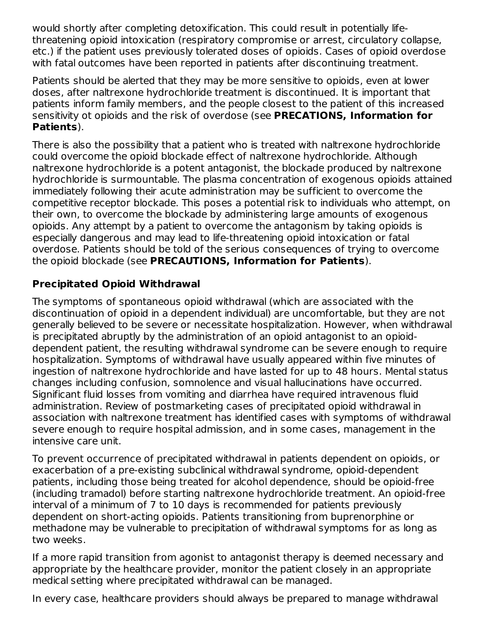would shortly after completing detoxification. This could result in potentially lifethreatening opioid intoxication (respiratory compromise or arrest, circulatory collapse, etc.) if the patient uses previously tolerated doses of opioids. Cases of opioid overdose with fatal outcomes have been reported in patients after discontinuing treatment.

Patients should be alerted that they may be more sensitive to opioids, even at lower doses, after naltrexone hydrochloride treatment is discontinued. It is important that patients inform family members, and the people closest to the patient of this increased sensitivity ot opioids and the risk of overdose (see **PRECATIONS, Information for Patients**).

There is also the possibility that a patient who is treated with naltrexone hydrochloride could overcome the opioid blockade effect of naltrexone hydrochloride. Although naltrexone hydrochloride is a potent antagonist, the blockade produced by naltrexone hydrochloride is surmountable. The plasma concentration of exogenous opioids attained immediately following their acute administration may be sufficient to overcome the competitive receptor blockade. This poses a potential risk to individuals who attempt, on their own, to overcome the blockade by administering large amounts of exogenous opioids. Any attempt by a patient to overcome the antagonism by taking opioids is especially dangerous and may lead to life-threatening opioid intoxication or fatal overdose. Patients should be told of the serious consequences of trying to overcome the opioid blockade (see **PRECAUTIONS, Information for Patients**).

### **Precipitated Opioid Withdrawal**

The symptoms of spontaneous opioid withdrawal (which are associated with the discontinuation of opioid in a dependent individual) are uncomfortable, but they are not generally believed to be severe or necessitate hospitalization. However, when withdrawal is precipitated abruptly by the administration of an opioid antagonist to an opioiddependent patient, the resulting withdrawal syndrome can be severe enough to require hospitalization. Symptoms of withdrawal have usually appeared within five minutes of ingestion of naltrexone hydrochloride and have lasted for up to 48 hours. Mental status changes including confusion, somnolence and visual hallucinations have occurred. Significant fluid losses from vomiting and diarrhea have required intravenous fluid administration. Review of postmarketing cases of precipitated opioid withdrawal in association with naltrexone treatment has identified cases with symptoms of withdrawal severe enough to require hospital admission, and in some cases, management in the intensive care unit.

To prevent occurrence of precipitated withdrawal in patients dependent on opioids, or exacerbation of a pre-existing subclinical withdrawal syndrome, opioid-dependent patients, including those being treated for alcohol dependence, should be opioid-free (including tramadol) before starting naltrexone hydrochloride treatment. An opioid-free interval of a minimum of 7 to 10 days is recommended for patients previously dependent on short-acting opioids. Patients transitioning from buprenorphine or methadone may be vulnerable to precipitation of withdrawal symptoms for as long as two weeks.

If a more rapid transition from agonist to antagonist therapy is deemed necessary and appropriate by the healthcare provider, monitor the patient closely in an appropriate medical setting where precipitated withdrawal can be managed.

In every case, healthcare providers should always be prepared to manage withdrawal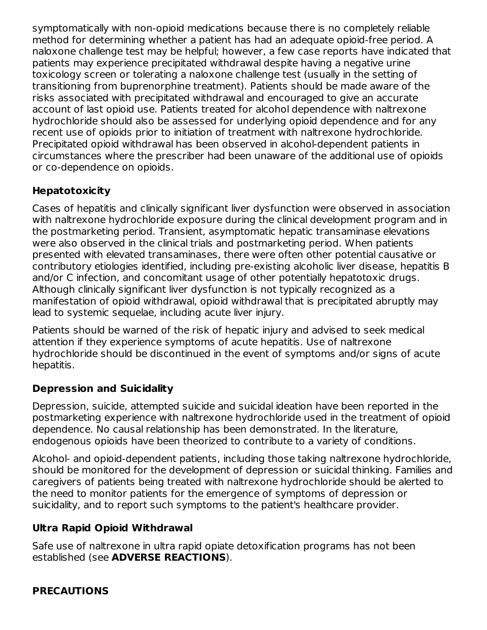symptomatically with non-opioid medications because there is no completely reliable method for determining whether a patient has had an adequate opioid-free period. A naloxone challenge test may be helpful; however, a few case reports have indicated that patients may experience precipitated withdrawal despite having a negative urine toxicology screen or tolerating a naloxone challenge test (usually in the setting of transitioning from buprenorphine treatment). Patients should be made aware of the risks associated with precipitated withdrawal and encouraged to give an accurate account of last opioid use. Patients treated for alcohol dependence with naltrexone hydrochloride should also be assessed for underlying opioid dependence and for any recent use of opioids prior to initiation of treatment with naltrexone hydrochloride. Precipitated opioid withdrawal has been observed in alcohol-dependent patients in circumstances where the prescriber had been unaware of the additional use of opioids or co-dependence on opioids.

### **Hepatotoxicity**

Cases of hepatitis and clinically significant liver dysfunction were observed in association with naltrexone hydrochloride exposure during the clinical development program and in the postmarketing period. Transient, asymptomatic hepatic transaminase elevations were also observed in the clinical trials and postmarketing period. When patients presented with elevated transaminases, there were often other potential causative or contributory etiologies identified, including pre-existing alcoholic liver disease, hepatitis B and/or C infection, and concomitant usage of other potentially hepatotoxic drugs. Although clinically significant liver dysfunction is not typically recognized as a manifestation of opioid withdrawal, opioid withdrawal that is precipitated abruptly may lead to systemic sequelae, including acute liver injury.

Patients should be warned of the risk of hepatic injury and advised to seek medical attention if they experience symptoms of acute hepatitis. Use of naltrexone hydrochloride should be discontinued in the event of symptoms and/or signs of acute hepatitis.

### **Depression and Suicidality**

Depression, suicide, attempted suicide and suicidal ideation have been reported in the postmarketing experience with naltrexone hydrochloride used in the treatment of opioid dependence. No causal relationship has been demonstrated. In the literature, endogenous opioids have been theorized to contribute to a variety of conditions.

Alcohol- and opioid-dependent patients, including those taking naltrexone hydrochloride, should be monitored for the development of depression or suicidal thinking. Families and caregivers of patients being treated with naltrexone hydrochloride should be alerted to the need to monitor patients for the emergence of symptoms of depression or suicidality, and to report such symptoms to the patient's healthcare provider.

## **Ultra Rapid Opioid Withdrawal**

Safe use of naltrexone in ultra rapid opiate detoxification programs has not been established (see **ADVERSE REACTIONS**).

### **PRECAUTIONS**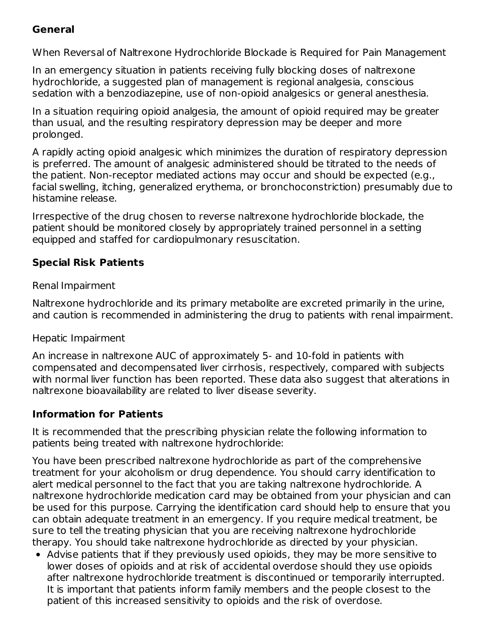### **General**

When Reversal of Naltrexone Hydrochloride Blockade is Required for Pain Management

In an emergency situation in patients receiving fully blocking doses of naltrexone hydrochloride, a suggested plan of management is regional analgesia, conscious sedation with a benzodiazepine, use of non-opioid analgesics or general anesthesia.

In a situation requiring opioid analgesia, the amount of opioid required may be greater than usual, and the resulting respiratory depression may be deeper and more prolonged.

A rapidly acting opioid analgesic which minimizes the duration of respiratory depression is preferred. The amount of analgesic administered should be titrated to the needs of the patient. Non-receptor mediated actions may occur and should be expected (e.g., facial swelling, itching, generalized erythema, or bronchoconstriction) presumably due to histamine release.

Irrespective of the drug chosen to reverse naltrexone hydrochloride blockade, the patient should be monitored closely by appropriately trained personnel in a setting equipped and staffed for cardiopulmonary resuscitation.

### **Special Risk Patients**

#### Renal Impairment

Naltrexone hydrochloride and its primary metabolite are excreted primarily in the urine, and caution is recommended in administering the drug to patients with renal impairment.

#### Hepatic Impairment

An increase in naltrexone AUC of approximately 5- and 10-fold in patients with compensated and decompensated liver cirrhosis, respectively, compared with subjects with normal liver function has been reported. These data also suggest that alterations in naltrexone bioavailability are related to liver disease severity.

### **Information for Patients**

It is recommended that the prescribing physician relate the following information to patients being treated with naltrexone hydrochloride:

You have been prescribed naltrexone hydrochloride as part of the comprehensive treatment for your alcoholism or drug dependence. You should carry identification to alert medical personnel to the fact that you are taking naltrexone hydrochloride. A naltrexone hydrochloride medication card may be obtained from your physician and can be used for this purpose. Carrying the identification card should help to ensure that you can obtain adequate treatment in an emergency. If you require medical treatment, be sure to tell the treating physician that you are receiving naltrexone hydrochloride therapy. You should take naltrexone hydrochloride as directed by your physician.

Advise patients that if they previously used opioids, they may be more sensitive to lower doses of opioids and at risk of accidental overdose should they use opioids after naltrexone hydrochloride treatment is discontinued or temporarily interrupted. It is important that patients inform family members and the people closest to the patient of this increased sensitivity to opioids and the risk of overdose.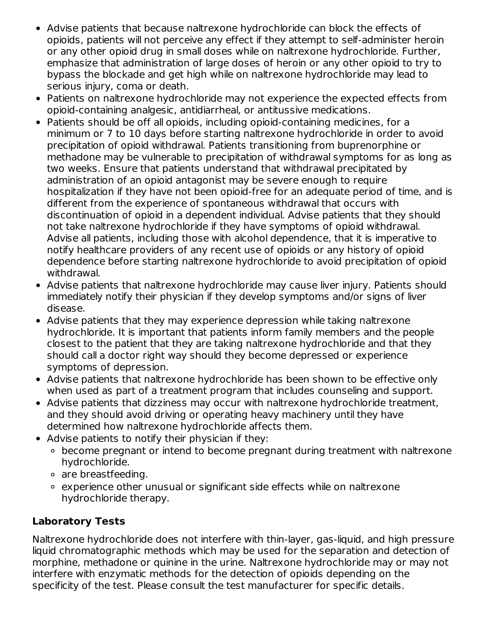- Advise patients that because naltrexone hydrochloride can block the effects of opioids, patients will not perceive any effect if they attempt to self-administer heroin or any other opioid drug in small doses while on naltrexone hydrochloride. Further, emphasize that administration of large doses of heroin or any other opioid to try to bypass the blockade and get high while on naltrexone hydrochloride may lead to serious injury, coma or death.
- Patients on naltrexone hydrochloride may not experience the expected effects from opioid-containing analgesic, antidiarrheal, or antitussive medications.
- Patients should be off all opioids, including opioid-containing medicines, for a minimum or 7 to 10 days before starting naltrexone hydrochloride in order to avoid precipitation of opioid withdrawal. Patients transitioning from buprenorphine or methadone may be vulnerable to precipitation of withdrawal symptoms for as long as two weeks. Ensure that patients understand that withdrawal precipitated by administration of an opioid antagonist may be severe enough to require hospitalization if they have not been opioid-free for an adequate period of time, and is different from the experience of spontaneous withdrawal that occurs with discontinuation of opioid in a dependent individual. Advise patients that they should not take naltrexone hydrochloride if they have symptoms of opioid withdrawal. Advise all patients, including those with alcohol dependence, that it is imperative to notify healthcare providers of any recent use of opioids or any history of opioid dependence before starting naltrexone hydrochloride to avoid precipitation of opioid withdrawal.
- Advise patients that naltrexone hydrochloride may cause liver injury. Patients should immediately notify their physician if they develop symptoms and/or signs of liver disease.
- Advise patients that they may experience depression while taking naltrexone hydrochloride. It is important that patients inform family members and the people closest to the patient that they are taking naltrexone hydrochloride and that they should call a doctor right way should they become depressed or experience symptoms of depression.
- Advise patients that naltrexone hydrochloride has been shown to be effective only when used as part of a treatment program that includes counseling and support.
- Advise patients that dizziness may occur with naltrexone hydrochloride treatment, and they should avoid driving or operating heavy machinery until they have determined how naltrexone hydrochloride affects them.
- Advise patients to notify their physician if they:
	- become pregnant or intend to become pregnant during treatment with naltrexone hydrochloride.
	- are breastfeeding.
	- experience other unusual or significant side effects while on naltrexone hydrochloride therapy.

## **Laboratory Tests**

Naltrexone hydrochloride does not interfere with thin-layer, gas-liquid, and high pressure liquid chromatographic methods which may be used for the separation and detection of morphine, methadone or quinine in the urine. Naltrexone hydrochloride may or may not interfere with enzymatic methods for the detection of opioids depending on the specificity of the test. Please consult the test manufacturer for specific details.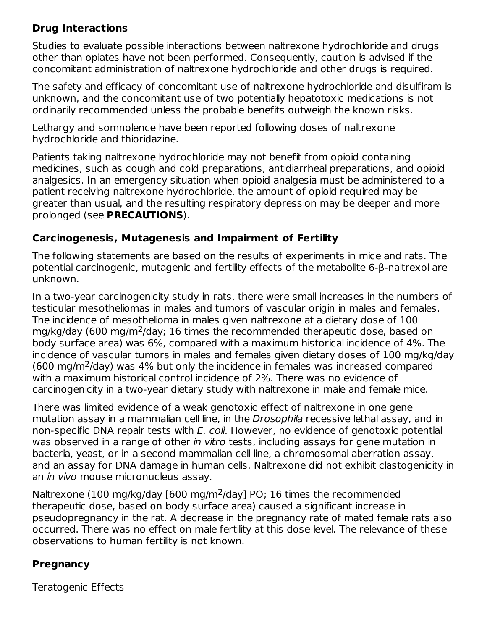### **Drug Interactions**

Studies to evaluate possible interactions between naltrexone hydrochloride and drugs other than opiates have not been performed. Consequently, caution is advised if the concomitant administration of naltrexone hydrochloride and other drugs is required.

The safety and efficacy of concomitant use of naltrexone hydrochloride and disulfiram is unknown, and the concomitant use of two potentially hepatotoxic medications is not ordinarily recommended unless the probable benefits outweigh the known risks.

Lethargy and somnolence have been reported following doses of naltrexone hydrochloride and thioridazine.

Patients taking naltrexone hydrochloride may not benefit from opioid containing medicines, such as cough and cold preparations, antidiarrheal preparations, and opioid analgesics. In an emergency situation when opioid analgesia must be administered to a patient receiving naltrexone hydrochloride, the amount of opioid required may be greater than usual, and the resulting respiratory depression may be deeper and more prolonged (see **PRECAUTIONS**).

### **Carcinogenesis, Mutagenesis and Impairment of Fertility**

The following statements are based on the results of experiments in mice and rats. The potential carcinogenic, mutagenic and fertility effects of the metabolite 6-β-naltrexol are unknown.

In a two-year carcinogenicity study in rats, there were small increases in the numbers of testicular mesotheliomas in males and tumors of vascular origin in males and females. The incidence of mesothelioma in males given naltrexone at a dietary dose of 100 mg/kg/day (600 mg/m<sup>2</sup>/day; 16 times the recommended therapeutic dose, based on body surface area) was 6%, compared with a maximum historical incidence of 4%. The incidence of vascular tumors in males and females given dietary doses of 100 mg/kg/day  $(600 \text{ mg/m}^2/\text{day})$  was 4% but only the incidence in females was increased compared with a maximum historical control incidence of 2%. There was no evidence of carcinogenicity in a two-year dietary study with naltrexone in male and female mice.

There was limited evidence of a weak genotoxic effect of naltrexone in one gene mutation assay in a mammalian cell line, in the Drosophila recessive lethal assay, and in non-specific DNA repair tests with E. coli. However, no evidence of genotoxic potential was observed in a range of other in vitro tests, including assays for gene mutation in bacteria, yeast, or in a second mammalian cell line, a chromosomal aberration assay, and an assay for DNA damage in human cells. Naltrexone did not exhibit clastogenicity in an in vivo mouse micronucleus assay.

Naltrexone (100 mg/kg/day [600 mg/m<sup>2</sup>/day] PO; 16 times the recommended therapeutic dose, based on body surface area) caused a significant increase in pseudopregnancy in the rat. A decrease in the pregnancy rate of mated female rats also occurred. There was no effect on male fertility at this dose level. The relevance of these observations to human fertility is not known.

### **Pregnancy**

Teratogenic Effects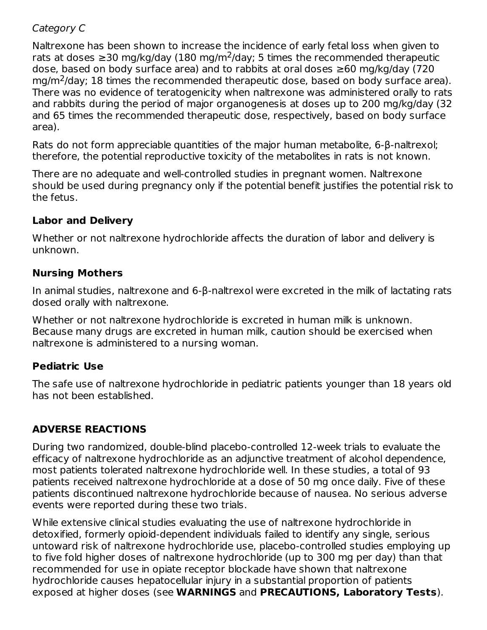#### Category C

Naltrexone has been shown to increase the incidence of early fetal loss when given to rats at doses  $\geq$ 30 mg/kg/day (180 mg/m<sup>2</sup>/day; 5 times the recommended therapeutic dose, based on body surface area) and to rabbits at oral doses ≥60 mg/kg/day (720  $mg/m<sup>2</sup>/day$ ; 18 times the recommended therapeutic dose, based on body surface area). There was no evidence of teratogenicity when naltrexone was administered orally to rats and rabbits during the period of major organogenesis at doses up to 200 mg/kg/day (32 and 65 times the recommended therapeutic dose, respectively, based on body surface area).

Rats do not form appreciable quantities of the major human metabolite, 6-β-naltrexol; therefore, the potential reproductive toxicity of the metabolites in rats is not known.

There are no adequate and well-controlled studies in pregnant women. Naltrexone should be used during pregnancy only if the potential benefit justifies the potential risk to the fetus.

#### **Labor and Delivery**

Whether or not naltrexone hydrochloride affects the duration of labor and delivery is unknown.

### **Nursing Mothers**

In animal studies, naltrexone and 6-β-naltrexol were excreted in the milk of lactating rats dosed orally with naltrexone.

Whether or not naltrexone hydrochloride is excreted in human milk is unknown. Because many drugs are excreted in human milk, caution should be exercised when naltrexone is administered to a nursing woman.

### **Pediatric Use**

The safe use of naltrexone hydrochloride in pediatric patients younger than 18 years old has not been established.

### **ADVERSE REACTIONS**

During two randomized, double-blind placebo-controlled 12-week trials to evaluate the efficacy of naltrexone hydrochloride as an adjunctive treatment of alcohol dependence, most patients tolerated naltrexone hydrochloride well. In these studies, a total of 93 patients received naltrexone hydrochloride at a dose of 50 mg once daily. Five of these patients discontinued naltrexone hydrochloride because of nausea. No serious adverse events were reported during these two trials.

While extensive clinical studies evaluating the use of naltrexone hydrochloride in detoxified, formerly opioid-dependent individuals failed to identify any single, serious untoward risk of naltrexone hydrochloride use, placebo-controlled studies employing up to five fold higher doses of naltrexone hydrochloride (up to 300 mg per day) than that recommended for use in opiate receptor blockade have shown that naltrexone hydrochloride causes hepatocellular injury in a substantial proportion of patients exposed at higher doses (see **WARNINGS** and **PRECAUTIONS, Laboratory Tests**).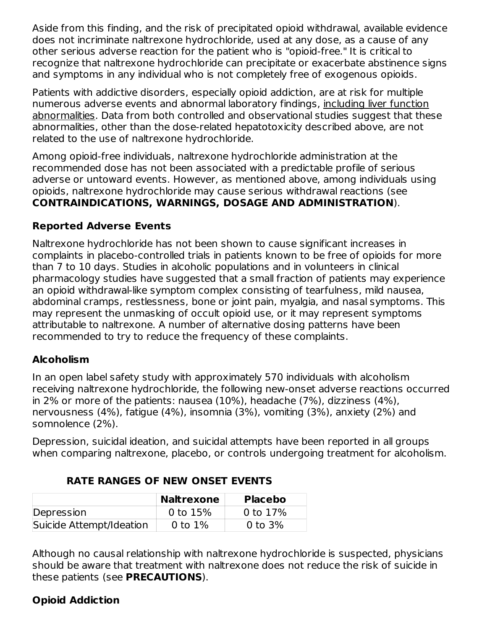Aside from this finding, and the risk of precipitated opioid withdrawal, available evidence does not incriminate naltrexone hydrochloride, used at any dose, as a cause of any other serious adverse reaction for the patient who is "opioid-free." It is critical to recognize that naltrexone hydrochloride can precipitate or exacerbate abstinence signs and symptoms in any individual who is not completely free of exogenous opioids.

Patients with addictive disorders, especially opioid addiction, are at risk for multiple numerous adverse events and abnormal laboratory findings, including liver function abnormalities. Data from both controlled and observational studies suggest that these abnormalities, other than the dose-related hepatotoxicity described above, are not related to the use of naltrexone hydrochloride.

Among opioid-free individuals, naltrexone hydrochloride administration at the recommended dose has not been associated with a predictable profile of serious adverse or untoward events. However, as mentioned above, among individuals using opioids, naltrexone hydrochloride may cause serious withdrawal reactions (see **CONTRAINDICATIONS, WARNINGS, DOSAGE AND ADMINISTRATION**).

### **Reported Adverse Events**

Naltrexone hydrochloride has not been shown to cause significant increases in complaints in placebo-controlled trials in patients known to be free of opioids for more than 7 to 10 days. Studies in alcoholic populations and in volunteers in clinical pharmacology studies have suggested that a small fraction of patients may experience an opioid withdrawal-like symptom complex consisting of tearfulness, mild nausea, abdominal cramps, restlessness, bone or joint pain, myalgia, and nasal symptoms. This may represent the unmasking of occult opioid use, or it may represent symptoms attributable to naltrexone. A number of alternative dosing patterns have been recommended to try to reduce the frequency of these complaints.

### **Alcoholism**

In an open label safety study with approximately 570 individuals with alcoholism receiving naltrexone hydrochloride, the following new-onset adverse reactions occurred in 2% or more of the patients: nausea (10%), headache (7%), dizziness (4%), nervousness (4%), fatigue (4%), insomnia (3%), vomiting (3%), anxiety (2%) and somnolence (2%).

Depression, suicidal ideation, and suicidal attempts have been reported in all groups when comparing naltrexone, placebo, or controls undergoing treatment for alcoholism.

|                          | <b>Naltrexone</b> | <b>Placebo</b> |
|--------------------------|-------------------|----------------|
| Depression               | 0 to $15%$        | 0 to $17%$     |
| Suicide Attempt/Ideation | 0 to $1\%$        | 0 to $3\%$     |

**RATE RANGES OF NEW ONSET EVENTS**

Although no causal relationship with naltrexone hydrochloride is suspected, physicians should be aware that treatment with naltrexone does not reduce the risk of suicide in these patients (see **PRECAUTIONS**).

## **Opioid Addiction**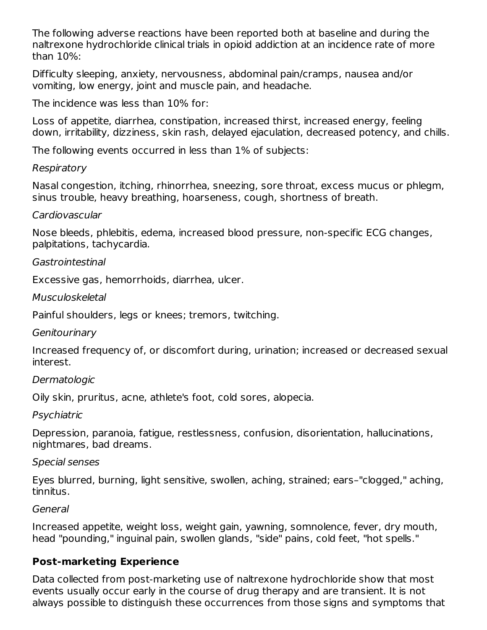The following adverse reactions have been reported both at baseline and during the naltrexone hydrochloride clinical trials in opioid addiction at an incidence rate of more than 10%:

Difficulty sleeping, anxiety, nervousness, abdominal pain/cramps, nausea and/or vomiting, low energy, joint and muscle pain, and headache.

The incidence was less than 10% for:

Loss of appetite, diarrhea, constipation, increased thirst, increased energy, feeling down, irritability, dizziness, skin rash, delayed ejaculation, decreased potency, and chills.

The following events occurred in less than 1% of subjects:

#### Respiratory

Nasal congestion, itching, rhinorrhea, sneezing, sore throat, excess mucus or phlegm, sinus trouble, heavy breathing, hoarseness, cough, shortness of breath.

#### Cardiovascular

Nose bleeds, phlebitis, edema, increased blood pressure, non-specific ECG changes, palpitations, tachycardia.

#### Gastrointestinal

Excessive gas, hemorrhoids, diarrhea, ulcer.

#### Musculoskeletal

Painful shoulders, legs or knees; tremors, twitching.

#### **Genitourinary**

Increased frequency of, or discomfort during, urination; increased or decreased sexual interest.

#### **Dermatologic**

Oily skin, pruritus, acne, athlete's foot, cold sores, alopecia.

**Psychiatric** 

Depression, paranoia, fatigue, restlessness, confusion, disorientation, hallucinations, nightmares, bad dreams.

#### Special senses

Eyes blurred, burning, light sensitive, swollen, aching, strained; ears–"clogged," aching, tinnitus.

#### General

Increased appetite, weight loss, weight gain, yawning, somnolence, fever, dry mouth, head "pounding," inguinal pain, swollen glands, "side" pains, cold feet, "hot spells."

### **Post-marketing Experience**

Data collected from post-marketing use of naltrexone hydrochloride show that most events usually occur early in the course of drug therapy and are transient. It is not always possible to distinguish these occurrences from those signs and symptoms that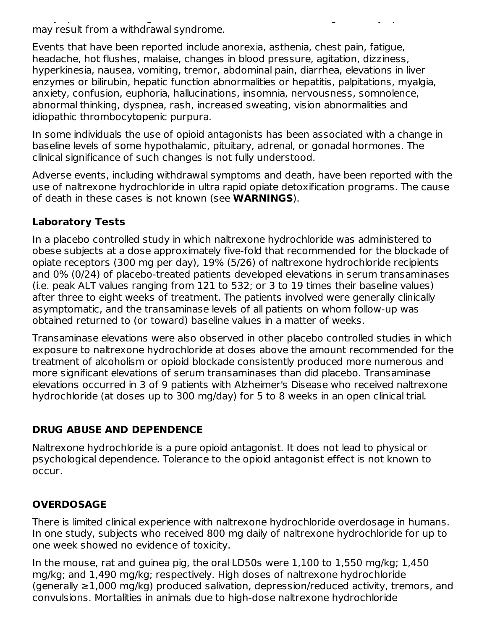always possible to distinguish these occurrences from those signs and symptoms that  $\mathcal{L}_\mathcal{A}$ may result from a withdrawal syndrome.

Events that have been reported include anorexia, asthenia, chest pain, fatigue, headache, hot flushes, malaise, changes in blood pressure, agitation, dizziness, hyperkinesia, nausea, vomiting, tremor, abdominal pain, diarrhea, elevations in liver enzymes or bilirubin, hepatic function abnormalities or hepatitis, palpitations, myalgia, anxiety, confusion, euphoria, hallucinations, insomnia, nervousness, somnolence, abnormal thinking, dyspnea, rash, increased sweating, vision abnormalities and idiopathic thrombocytopenic purpura.

In some individuals the use of opioid antagonists has been associated with a change in baseline levels of some hypothalamic, pituitary, adrenal, or gonadal hormones. The clinical significance of such changes is not fully understood.

Adverse events, including withdrawal symptoms and death, have been reported with the use of naltrexone hydrochloride in ultra rapid opiate detoxification programs. The cause of death in these cases is not known (see **WARNINGS**).

### **Laboratory Tests**

In a placebo controlled study in which naltrexone hydrochloride was administered to obese subjects at a dose approximately five-fold that recommended for the blockade of opiate receptors (300 mg per day), 19% (5/26) of naltrexone hydrochloride recipients and 0% (0/24) of placebo-treated patients developed elevations in serum transaminases (i.e. peak ALT values ranging from 121 to 532; or 3 to 19 times their baseline values) after three to eight weeks of treatment. The patients involved were generally clinically asymptomatic, and the transaminase levels of all patients on whom follow-up was obtained returned to (or toward) baseline values in a matter of weeks.

Transaminase elevations were also observed in other placebo controlled studies in which exposure to naltrexone hydrochloride at doses above the amount recommended for the treatment of alcoholism or opioid blockade consistently produced more numerous and more significant elevations of serum transaminases than did placebo. Transaminase elevations occurred in 3 of 9 patients with Alzheimer's Disease who received naltrexone hydrochloride (at doses up to 300 mg/day) for 5 to 8 weeks in an open clinical trial.

### **DRUG ABUSE AND DEPENDENCE**

Naltrexone hydrochloride is a pure opioid antagonist. It does not lead to physical or psychological dependence. Tolerance to the opioid antagonist effect is not known to occur.

## **OVERDOSAGE**

There is limited clinical experience with naltrexone hydrochloride overdosage in humans. In one study, subjects who received 800 mg daily of naltrexone hydrochloride for up to one week showed no evidence of toxicity.

In the mouse, rat and guinea pig, the oral LD50s were 1,100 to 1,550 mg/kg; 1,450 mg/kg; and 1,490 mg/kg; respectively. High doses of naltrexone hydrochloride (generally ≥1,000 mg/kg) produced salivation, depression/reduced activity, tremors, and convulsions. Mortalities in animals due to high-dose naltrexone hydrochloride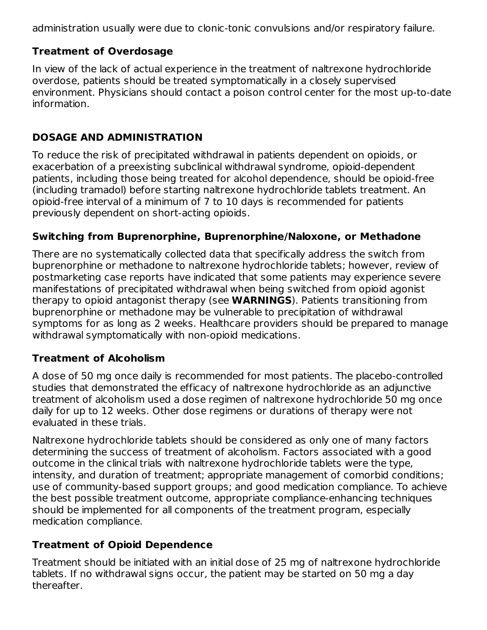administration usually were due to clonic-tonic convulsions and/or respiratory failure.

## **Treatment of Overdosage**

In view of the lack of actual experience in the treatment of naltrexone hydrochloride overdose, patients should be treated symptomatically in a closely supervised environment. Physicians should contact a poison control center for the most up-to-date information.

### **DOSAGE AND ADMINISTRATION**

To reduce the risk of precipitated withdrawal in patients dependent on opioids, or exacerbation of a preexisting subclinical withdrawal syndrome, opioid-dependent patients, including those being treated for alcohol dependence, should be opioid-free (including tramadol) before starting naltrexone hydrochloride tablets treatment. An opioid-free interval of a minimum of 7 to 10 days is recommended for patients previously dependent on short-acting opioids.

### **Switching from Buprenorphine, Buprenorphine/Naloxone, or Methadone**

There are no systematically collected data that specifically address the switch from buprenorphine or methadone to naltrexone hydrochloride tablets; however, review of postmarketing case reports have indicated that some patients may experience severe manifestations of precipitated withdrawal when being switched from opioid agonist therapy to opioid antagonist therapy (see **WARNINGS**). Patients transitioning from buprenorphine or methadone may be vulnerable to precipitation of withdrawal symptoms for as long as 2 weeks. Healthcare providers should be prepared to manage withdrawal symptomatically with non-opioid medications.

### **Treatment of Alcoholism**

A dose of 50 mg once daily is recommended for most patients. The placebo-controlled studies that demonstrated the efficacy of naltrexone hydrochloride as an adjunctive treatment of alcoholism used a dose regimen of naltrexone hydrochloride 50 mg once daily for up to 12 weeks. Other dose regimens or durations of therapy were not evaluated in these trials.

Naltrexone hydrochloride tablets should be considered as only one of many factors determining the success of treatment of alcoholism. Factors associated with a good outcome in the clinical trials with naltrexone hydrochloride tablets were the type, intensity, and duration of treatment; appropriate management of comorbid conditions; use of community-based support groups; and good medication compliance. To achieve the best possible treatment outcome, appropriate compliance-enhancing techniques should be implemented for all components of the treatment program, especially medication compliance.

## **Treatment of Opioid Dependence**

Treatment should be initiated with an initial dose of 25 mg of naltrexone hydrochloride tablets. If no withdrawal signs occur, the patient may be started on 50 mg a day thereafter.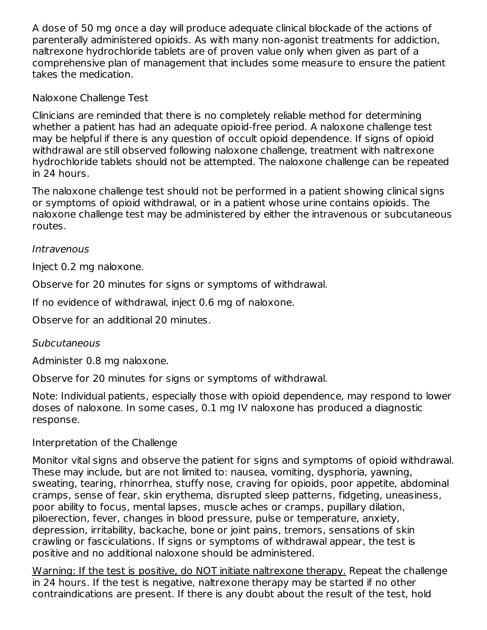A dose of 50 mg once a day will produce adequate clinical blockade of the actions of parenterally administered opioids. As with many non-agonist treatments for addiction, naltrexone hydrochloride tablets are of proven value only when given as part of a comprehensive plan of management that includes some measure to ensure the patient takes the medication.

Naloxone Challenge Test

Clinicians are reminded that there is no completely reliable method for determining whether a patient has had an adequate opioid-free period. A naloxone challenge test may be helpful if there is any question of occult opioid dependence. If signs of opioid withdrawal are still observed following naloxone challenge, treatment with naltrexone hydrochloride tablets should not be attempted. The naloxone challenge can be repeated in 24 hours.

The naloxone challenge test should not be performed in a patient showing clinical signs or symptoms of opioid withdrawal, or in a patient whose urine contains opioids. The naloxone challenge test may be administered by either the intravenous or subcutaneous routes.

### **Intravenous**

Inject 0.2 mg naloxone.

Observe for 20 minutes for signs or symptoms of withdrawal.

If no evidence of withdrawal, inject 0.6 mg of naloxone.

Observe for an additional 20 minutes.

### **Subcutaneous**

Administer 0.8 mg naloxone.

Observe for 20 minutes for signs or symptoms of withdrawal.

Note: Individual patients, especially those with opioid dependence, may respond to lower doses of naloxone. In some cases, 0.1 mg IV naloxone has produced a diagnostic response.

## Interpretation of the Challenge

Monitor vital signs and observe the patient for signs and symptoms of opioid withdrawal. These may include, but are not limited to: nausea, vomiting, dysphoria, yawning, sweating, tearing, rhinorrhea, stuffy nose, craving for opioids, poor appetite, abdominal cramps, sense of fear, skin erythema, disrupted sleep patterns, fidgeting, uneasiness, poor ability to focus, mental lapses, muscle aches or cramps, pupillary dilation, piloerection, fever, changes in blood pressure, pulse or temperature, anxiety, depression, irritability, backache, bone or joint pains, tremors, sensations of skin crawling or fasciculations. If signs or symptoms of withdrawal appear, the test is positive and no additional naloxone should be administered.

Warning: If the test is positive, do NOT initiate naltrexone therapy. Repeat the challenge in 24 hours. If the test is negative, naltrexone therapy may be started if no other contraindications are present. If there is any doubt about the result of the test, hold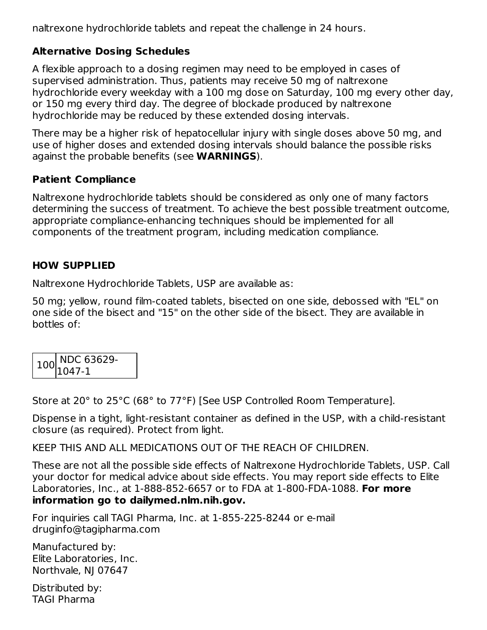naltrexone hydrochloride tablets and repeat the challenge in 24 hours.

### **Alternative Dosing Schedules**

A flexible approach to a dosing regimen may need to be employed in cases of supervised administration. Thus, patients may receive 50 mg of naltrexone hydrochloride every weekday with a 100 mg dose on Saturday, 100 mg every other day, or 150 mg every third day. The degree of blockade produced by naltrexone hydrochloride may be reduced by these extended dosing intervals.

There may be a higher risk of hepatocellular injury with single doses above 50 mg, and use of higher doses and extended dosing intervals should balance the possible risks against the probable benefits (see **WARNINGS**).

#### **Patient Compliance**

Naltrexone hydrochloride tablets should be considered as only one of many factors determining the success of treatment. To achieve the best possible treatment outcome, appropriate compliance-enhancing techniques should be implemented for all components of the treatment program, including medication compliance.

#### **HOW SUPPLIED**

Naltrexone Hydrochloride Tablets, USP are available as:

50 mg; yellow, round film-coated tablets, bisected on one side, debossed with "EL" on one side of the bisect and "15" on the other side of the bisect. They are available in bottles of:

| $100\begin{array}{l} \text{NDC} 63629 \\ 1047-1 \end{array}$ |
|--------------------------------------------------------------|
|                                                              |

Store at 20° to 25°C (68° to 77°F) [See USP Controlled Room Temperature].

Dispense in a tight, light-resistant container as defined in the USP, with a child-resistant closure (as required). Protect from light.

KEEP THIS AND ALL MEDICATIONS OUT OF THE REACH OF CHILDREN.

These are not all the possible side effects of Naltrexone Hydrochloride Tablets, USP. Call your doctor for medical advice about side effects. You may report side effects to Elite Laboratories, Inc., at 1-888-852-6657 or to FDA at 1-800-FDA-1088. **For more information go to dailymed.nlm.nih.gov.**

For inquiries call TAGI Pharma, Inc. at 1-855-225-8244 or e-mail druginfo@tagipharma.com

Manufactured by: Elite Laboratories, Inc. Northvale, NJ 07647

Distributed by: TAGI Pharma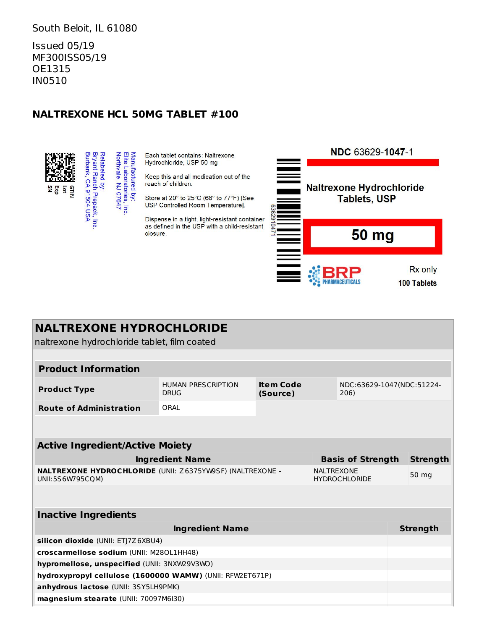#### South Beloit, IL 61080

Issued 05/19 MF300ISS05/19 OE1315 IN0510

#### **NALTREXONE HCL 50MG TABLET #100**



Each tablet contains: Naltrexone Hydrochloride, USP 50 mg

Keep this and all medication out of the reach of children.

Store at 20° to 25°C (68° to 77°F) [See USP Controlled Room Temperature].

Dispense in a tight, light-resistant container as defined in the USP with a child-resistant closure.



| <b>NALTREXONE HYDROCHLORIDE</b>                                               |                                          |                                      |                                           |  |                           |                 |
|-------------------------------------------------------------------------------|------------------------------------------|--------------------------------------|-------------------------------------------|--|---------------------------|-----------------|
| naltrexone hydrochloride tablet, film coated                                  |                                          |                                      |                                           |  |                           |                 |
|                                                                               |                                          |                                      |                                           |  |                           |                 |
| <b>Product Information</b>                                                    |                                          |                                      |                                           |  |                           |                 |
| <b>Product Type</b>                                                           | <b>HUMAN PRESCRIPTION</b><br><b>DRUG</b> | <b>Item Code</b><br>(Source)<br>206) |                                           |  | NDC:63629-1047(NDC:51224- |                 |
| <b>Route of Administration</b>                                                | ORAI                                     |                                      |                                           |  |                           |                 |
|                                                                               |                                          |                                      |                                           |  |                           |                 |
| <b>Active Ingredient/Active Moiety</b>                                        |                                          |                                      |                                           |  |                           |                 |
| <b>Ingredient Name</b><br><b>Basis of Strength</b>                            |                                          |                                      |                                           |  |                           | <b>Strength</b> |
| NALTREXONE HYDROCHLORIDE (UNII: Z6375YW9SF) (NALTREXONE -<br>UNII:5S6W795COM) |                                          |                                      | <b>NALTREXONE</b><br><b>HYDROCHLORIDE</b> |  | 50 mg                     |                 |
|                                                                               |                                          |                                      |                                           |  |                           |                 |
| <b>Inactive Ingredients</b>                                                   |                                          |                                      |                                           |  |                           |                 |
|                                                                               | <b>Ingredient Name</b>                   |                                      |                                           |  |                           | <b>Strength</b> |
| silicon dioxide (UNII: ETJ7Z6XBU4)                                            |                                          |                                      |                                           |  |                           |                 |
| croscarmellose sodium (UNII: M280L1HH48)                                      |                                          |                                      |                                           |  |                           |                 |
| hypromellose, unspecified (UNII: 3NXW29V3WO)                                  |                                          |                                      |                                           |  |                           |                 |
| hydroxypropyl cellulose (1600000 WAMW) (UNII: RFW2ET671P)                     |                                          |                                      |                                           |  |                           |                 |
| anhydrous lactose (UNII: 3SY5LH9PMK)                                          |                                          |                                      |                                           |  |                           |                 |
| magnesium stearate (UNII: 70097M6I30)                                         |                                          |                                      |                                           |  |                           |                 |